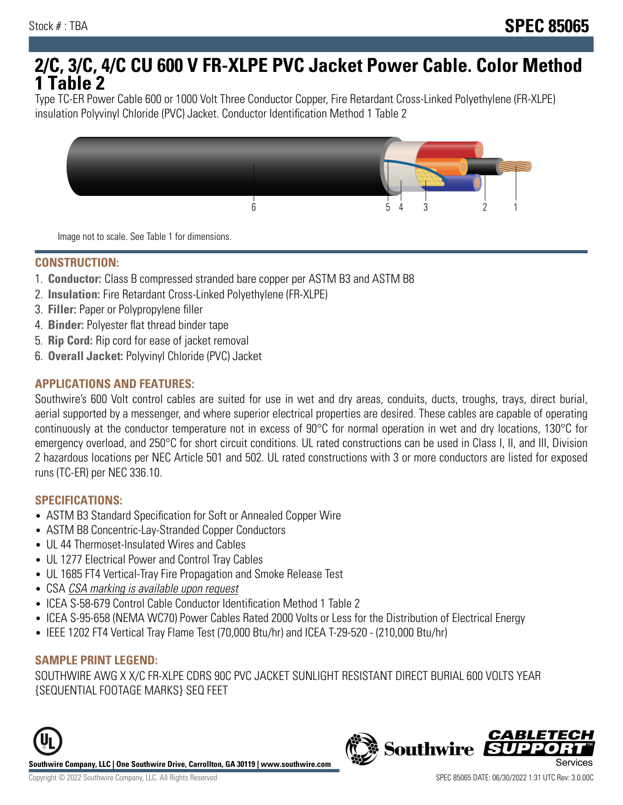# **2/C, 3/C, 4/C CU 600 V FR-XLPE PVC Jacket Power Cable. Color Method 1 Table 2**

Type TC-ER Power Cable 600 or 1000 Volt Three Conductor Copper, Fire Retardant Cross-Linked Polyethylene (FR-XLPE) insulation Polyvinyl Chloride (PVC) Jacket. Conductor Identification Method 1 Table 2



Image not to scale. See Table 1 for dimensions.

#### **CONSTRUCTION:**

- 1. **Conductor:** Class B compressed stranded bare copper per ASTM B3 and ASTM B8
- 2. **Insulation:** Fire Retardant Cross-Linked Polyethylene (FR-XLPE)
- 3. **Filler:** Paper or Polypropylene filler
- 4. **Binder:** Polyester flat thread binder tape
- 5. **Rip Cord:** Rip cord for ease of jacket removal
- 6. **Overall Jacket:** Polyvinyl Chloride (PVC) Jacket

## **APPLICATIONS AND FEATURES:**

Southwire's 600 Volt control cables are suited for use in wet and dry areas, conduits, ducts, troughs, trays, direct burial, aerial supported by a messenger, and where superior electrical properties are desired. These cables are capable of operating continuously at the conductor temperature not in excess of 90°C for normal operation in wet and dry locations, 130°C for emergency overload, and 250°C for short circuit conditions. UL rated constructions can be used in Class I, II, and III, Division 2 hazardous locations per NEC Article 501 and 502. UL rated constructions with 3 or more conductors are listed for exposed runs (TC-ER) per NEC 336.10.

#### **SPECIFICATIONS:**

- ASTM B3 Standard Specification for Soft or Annealed Copper Wire
- ASTM B8 Concentric-Lay-Stranded Copper Conductors
- UL 44 Thermoset-Insulated Wires and Cables
- UL 1277 Electrical Power and Control Tray Cables
- UL 1685 FT4 Vertical-Tray Fire Propagation and Smoke Release Test
- CSA CSA marking is available upon request
- ICEA S-58-679 Control Cable Conductor Identification Method 1 Table 2
- ICEA S-95-658 (NEMA WC70) Power Cables Rated 2000 Volts or Less for the Distribution of Electrical Energy
- IEEE 1202 FT4 Vertical Tray Flame Test (70,000 Btu/hr) and ICEA T-29-520 (210,000 Btu/hr)

#### **SAMPLE PRINT LEGEND:**

SOUTHWIRE AWG X X/C FR-XLPE CDRS 90C PVC JACKET SUNLIGHT RESISTANT DIRECT BURIAL 600 VOLTS YEAR {SEQUENTIAL FOOTAGE MARKS} SEQ FEET